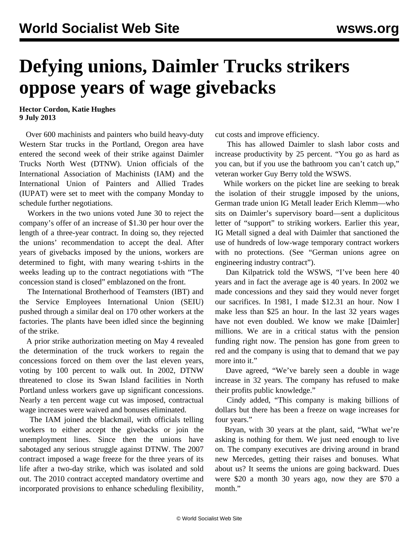## **Defying unions, Daimler Trucks strikers oppose years of wage givebacks**

**Hector Cordon, Katie Hughes 9 July 2013**

 Over 600 machinists and painters who build heavy-duty Western Star trucks in the Portland, Oregon area have entered the second week of their strike against Daimler Trucks North West (DTNW). Union officials of the International Association of Machinists (IAM) and the International Union of Painters and Allied Trades (IUPAT) were set to meet with the company Monday to schedule further negotiations.

 Workers in the two unions voted June 30 to reject the company's offer of an increase of \$1.30 per hour over the length of a three-year contract. In doing so, they rejected the unions' recommendation to accept the deal. After years of givebacks imposed by the unions, workers are determined to fight, with many wearing t-shirts in the weeks leading up to the contract negotiations with "The concession stand is closed" emblazoned on the front.

 The International Brotherhood of Teamsters (IBT) and the Service Employees International Union (SEIU) pushed through a similar deal on 170 other workers at the factories. The plants have been idled since the beginning of the strike.

 A prior strike authorization meeting on May 4 revealed the determination of the truck workers to regain the concessions forced on them over the last eleven years, voting by 100 percent to walk out. In 2002, DTNW threatened to close its Swan Island facilities in North Portland unless workers gave up significant concessions. Nearly a ten percent wage cut was imposed, contractual wage increases were waived and bonuses eliminated.

 The IAM joined the blackmail, with officials telling workers to either accept the givebacks or join the unemployment lines. Since then the unions have sabotaged any serious struggle against DTNW. The 2007 contract imposed a wage freeze for the three years of its life after a two-day strike, which was isolated and sold out. The 2010 contract accepted mandatory overtime and incorporated provisions to enhance scheduling flexibility, cut costs and improve efficiency.

 This has allowed Daimler to slash labor costs and increase productivity by 25 percent. "You go as hard as you can, but if you use the bathroom you can't catch up," veteran worker Guy Berry told the WSWS.

 While workers on the picket line are seeking to break the isolation of their struggle imposed by the unions, German trade union IG Metall leader Erich Klemm—who sits on Daimler's supervisory board—sent a duplicitous letter of "support" to striking workers. Earlier this year, IG Metall signed a deal with Daimler that sanctioned the use of hundreds of low-wage temporary contract workers with no protections. (See "[German unions agree on](/en/articles/2013/05/18/germ-m18.html) [engineering industry contract](/en/articles/2013/05/18/germ-m18.html)").

 Dan Kilpatrick told the WSWS, "I've been here 40 years and in fact the average age is 40 years. In 2002 we made concessions and they said they would never forget our sacrifices. In 1981, I made \$12.31 an hour. Now I make less than \$25 an hour. In the last 32 years wages have not even doubled. We know we make [Daimler] millions. We are in a critical status with the pension funding right now. The pension has gone from green to red and the company is using that to demand that we pay more into it."

 Dave agreed, "We've barely seen a double in wage increase in 32 years. The company has refused to make their profits public knowledge."

 Cindy added, "This company is making billions of dollars but there has been a freeze on wage increases for four years."

 Bryan, with 30 years at the plant, said, "What we're asking is nothing for them. We just need enough to live on. The company executives are driving around in brand new Mercedes, getting their raises and bonuses. What about us? It seems the unions are going backward. Dues were \$20 a month 30 years ago, now they are \$70 a month."